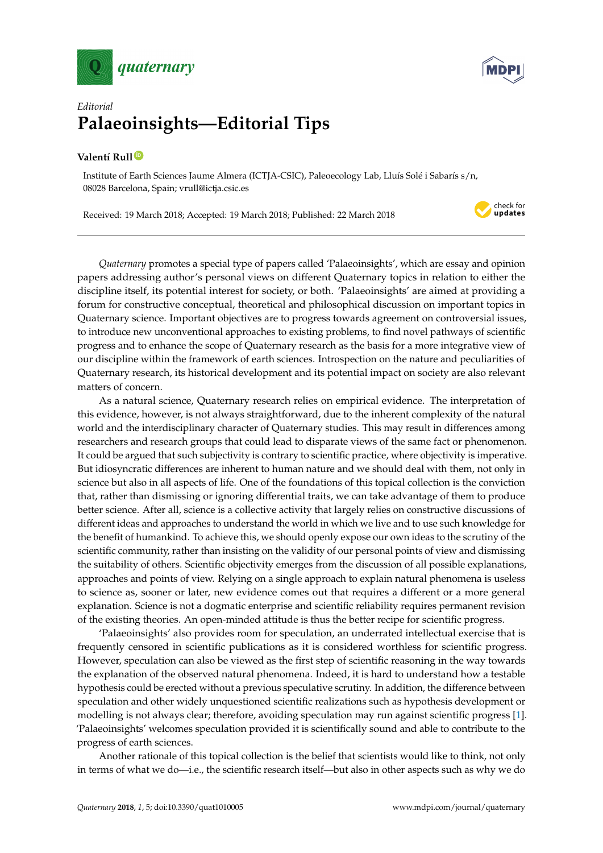



## *Editorial* **Palaeoinsights—Editorial Tips**

## **Valentí Rull [ID](https://orcid.org/0000-0002-9961-105X)**

Institute of Earth Sciences Jaume Almera (ICTJA-CSIC), Paleoecology Lab, Lluís Solé i Sabarís s/n, 08028 Barcelona, Spain; vrull@ictja.csic.es

Received: 19 March 2018; Accepted: 19 March 2018; Published: 22 March 2018



*Quaternary* promotes a special type of papers called 'Palaeoinsights', which are essay and opinion papers addressing author's personal views on different Quaternary topics in relation to either the discipline itself, its potential interest for society, or both. 'Palaeoinsights' are aimed at providing a forum for constructive conceptual, theoretical and philosophical discussion on important topics in Quaternary science. Important objectives are to progress towards agreement on controversial issues, to introduce new unconventional approaches to existing problems, to find novel pathways of scientific progress and to enhance the scope of Quaternary research as the basis for a more integrative view of our discipline within the framework of earth sciences. Introspection on the nature and peculiarities of Quaternary research, its historical development and its potential impact on society are also relevant matters of concern.

As a natural science, Quaternary research relies on empirical evidence. The interpretation of this evidence, however, is not always straightforward, due to the inherent complexity of the natural world and the interdisciplinary character of Quaternary studies. This may result in differences among researchers and research groups that could lead to disparate views of the same fact or phenomenon. It could be argued that such subjectivity is contrary to scientific practice, where objectivity is imperative. But idiosyncratic differences are inherent to human nature and we should deal with them, not only in science but also in all aspects of life. One of the foundations of this topical collection is the conviction that, rather than dismissing or ignoring differential traits, we can take advantage of them to produce better science. After all, science is a collective activity that largely relies on constructive discussions of different ideas and approaches to understand the world in which we live and to use such knowledge for the benefit of humankind. To achieve this, we should openly expose our own ideas to the scrutiny of the scientific community, rather than insisting on the validity of our personal points of view and dismissing the suitability of others. Scientific objectivity emerges from the discussion of all possible explanations, approaches and points of view. Relying on a single approach to explain natural phenomena is useless to science as, sooner or later, new evidence comes out that requires a different or a more general explanation. Science is not a dogmatic enterprise and scientific reliability requires permanent revision of the existing theories. An open-minded attitude is thus the better recipe for scientific progress.

'Palaeoinsights' also provides room for speculation, an underrated intellectual exercise that is frequently censored in scientific publications as it is considered worthless for scientific progress. However, speculation can also be viewed as the first step of scientific reasoning in the way towards the explanation of the observed natural phenomena. Indeed, it is hard to understand how a testable hypothesis could be erected without a previous speculative scrutiny. In addition, the difference between speculation and other widely unquestioned scientific realizations such as hypothesis development or modelling is not always clear; therefore, avoiding speculation may run against scientific progress [\[1\]](#page-2-0). 'Palaeoinsights' welcomes speculation provided it is scientifically sound and able to contribute to the progress of earth sciences.

Another rationale of this topical collection is the belief that scientists would like to think, not only in terms of what we do—i.e., the scientific research itself—but also in other aspects such as why we do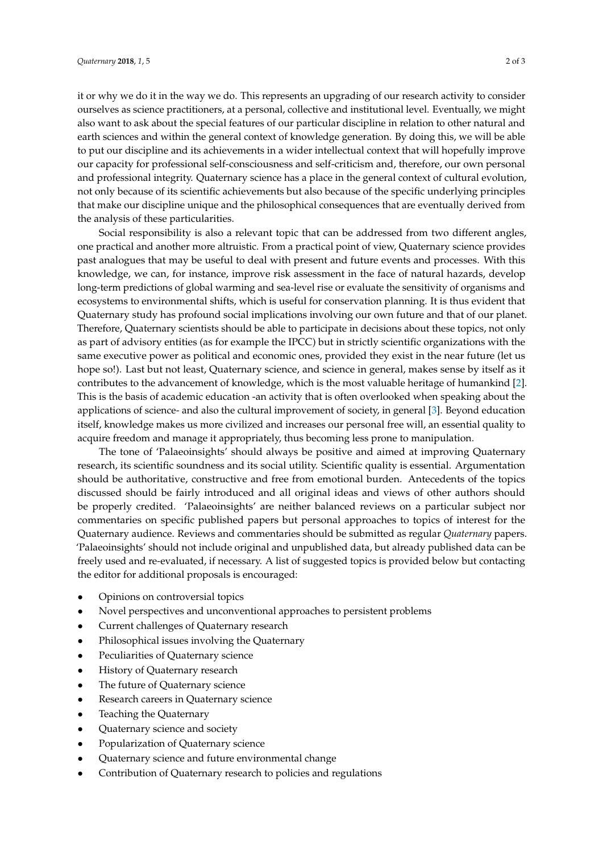it or why we do it in the way we do. This represents an upgrading of our research activity to consider ourselves as science practitioners, at a personal, collective and institutional level. Eventually, we might also want to ask about the special features of our particular discipline in relation to other natural and earth sciences and within the general context of knowledge generation. By doing this, we will be able to put our discipline and its achievements in a wider intellectual context that will hopefully improve our capacity for professional self-consciousness and self-criticism and, therefore, our own personal and professional integrity. Quaternary science has a place in the general context of cultural evolution, not only because of its scientific achievements but also because of the specific underlying principles that make our discipline unique and the philosophical consequences that are eventually derived from the analysis of these particularities.

Social responsibility is also a relevant topic that can be addressed from two different angles, one practical and another more altruistic. From a practical point of view, Quaternary science provides past analogues that may be useful to deal with present and future events and processes. With this knowledge, we can, for instance, improve risk assessment in the face of natural hazards, develop long-term predictions of global warming and sea-level rise or evaluate the sensitivity of organisms and ecosystems to environmental shifts, which is useful for conservation planning. It is thus evident that Quaternary study has profound social implications involving our own future and that of our planet. Therefore, Quaternary scientists should be able to participate in decisions about these topics, not only as part of advisory entities (as for example the IPCC) but in strictly scientific organizations with the same executive power as political and economic ones, provided they exist in the near future (let us hope so!). Last but not least, Quaternary science, and science in general, makes sense by itself as it contributes to the advancement of knowledge, which is the most valuable heritage of humankind [\[2\]](#page-2-1). This is the basis of academic education -an activity that is often overlooked when speaking about the applications of science- and also the cultural improvement of society, in general [\[3\]](#page-2-2). Beyond education itself, knowledge makes us more civilized and increases our personal free will, an essential quality to acquire freedom and manage it appropriately, thus becoming less prone to manipulation.

The tone of 'Palaeoinsights' should always be positive and aimed at improving Quaternary research, its scientific soundness and its social utility. Scientific quality is essential. Argumentation should be authoritative, constructive and free from emotional burden. Antecedents of the topics discussed should be fairly introduced and all original ideas and views of other authors should be properly credited. 'Palaeoinsights' are neither balanced reviews on a particular subject nor commentaries on specific published papers but personal approaches to topics of interest for the Quaternary audience. Reviews and commentaries should be submitted as regular *Quaternary* papers. 'Palaeoinsights' should not include original and unpublished data, but already published data can be freely used and re-evaluated, if necessary. A list of suggested topics is provided below but contacting the editor for additional proposals is encouraged:

- Opinions on controversial topics
- Novel perspectives and unconventional approaches to persistent problems
- Current challenges of Quaternary research
- Philosophical issues involving the Quaternary
- Peculiarities of Quaternary science
- History of Quaternary research
- The future of Quaternary science
- Research careers in Quaternary science
- Teaching the Quaternary
- Quaternary science and society
- Popularization of Quaternary science
- Quaternary science and future environmental change
- Contribution of Quaternary research to policies and regulations